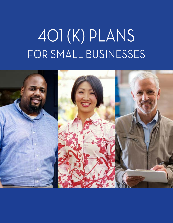# 401 (K) PLANS FOR SMALL BUSINESSES

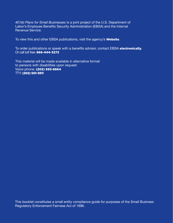*401(k) Plans for Small Businesses* is a joint project of the U.S. Department of Labor's Employee Benefits Security Administration (EBSA) and the Internal Revenue Service.

To view this and other EBSA publications, visit the agency's **[Website](https://www.dol.gov/agencies/ebsa/about-ebsa/our-activities/resource-center/publications)**.

To order publications or speak with a benefits advisor, contact EBSA [electronically](https://www.askebsa.dol.gov). Or call toll free: 866-444-3272

This material will be made available in alternative format to persons with disabilities upon request: Voice phone: (202) 693-8664 TTY: (202) 501-3911

This booklet constitutes a small entity compliance guide for purposes of the Small Business Regulatory Enforcement Fairness Act of 1996.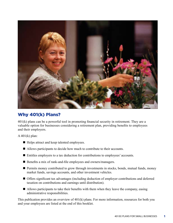

# Why 401(k) Plans?

401(k) plans can be a powerful tool in promoting financial security in retirement. They are a valuable option for businesses considering a retirement plan, providing benefits to employees and their employers.

A 401(k) plan:

- Helps attract and keep talented employees.
- $\blacksquare$  Allows participants to decide how much to contribute to their accounts.
- Entitles employers to a tax deduction for contributions to employees' accounts.
- Benefits a mix of rank-and-file employees and owners/managers.
- $\blacksquare$  Permits money contributed to grow through investments in stocks, bonds, mutual funds, money market funds, savings accounts, and other investment vehicles.
- n Offers significant tax advantages (including deduction of employer contributions and deferred taxation on contributions and earnings until distribution).
- $\blacksquare$  Allows participants to take their benefits with them when they leave the company, easing administrative responsibilities.

This publication provides an overview of 401(k) plans. For more information, resources for both you and your employees are listed at the end of this booklet.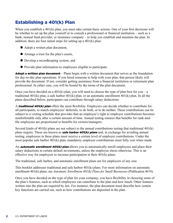# Establishing a 401(k) Plan

When you establish a 401(k) plan, you must take certain basic actions. One of your first decisions will be whether to set up the plan yourself or to consult a professional or financial institution – such as a bank, mutual fund provider, or insurance company – to help you establish and maintain the plan. In addition, there are four initial steps for setting up a 401(k) plan:

- $\blacksquare$  Adopt a written plan document,
- Arrange a trust for the plan's assets,
- Develop a recordkeeping system, and
- $\blacksquare$  Provide plan information to employees eligible to participate.

Adopt a written plan document – Plans begin with a written document that serves as the foundation for day-to-day plan operations. If you hired someone to help with your plan, that person likely will provide the document. If not, consider getting assistance from a financial institution or retirement plan professional. In either case, you will be bound by the terms of the plan document.

Once you have decided on a 401(k) plan, you will need to choose the type of plan best for you – a traditional 401(k) plan, a safe harbor 401(k) plan, or an automatic enrollment 401(k) plan. In all the plans described below, participants can contribute through salary deductions.

A **traditional 401(k) plan** offers the most flexibility. Employers can decide whether to contribute for all participants, to match employees' deferrals, to do both, or to do neither. These contributions can be subject to a vesting schedule that provides that an employee's right to employer contributions becomes nonforfeitable only after a certain amount of time. Annual testing ensures that benefits for rank-andfile employees are proportional to benefits for owners/managers.

Several kinds of 401(k) plans are not subject to the annual contributions testing that traditional 401(k) plans require. These are known as **safe harbor 401(k) plans** and, in exchange for avoiding annual testing, employees in these plans must receive a certain level of employer contributions. Under the most popular safe harbor 401(k) plan, mandatory employer contributions must fully vest when made.

An **automatic enrollment 401(k) plan** allows you to automatically enroll employees and place their salary deductions in certain default investments, unless the employee elects otherwise. This is an effective way for employers to increase participation in their 401(k) plans.

The traditional, safe harbor, and automatic enrollment plans are for employers of any size.

This booklet addresses traditional and safe harbor 401(k) plans. For more information on automatic enrollment 401(k) plans, see *Automatic Enrollment 401(k) Plans for Small Businesses* (Publication 4674).

Once you have decided on the type of plan for your company, you have flexibility in choosing some of the plan's features, such as which employees can contribute to the plan and how much. Other features written into the plan are required by law. For instance, the plan document must describe how certain key functions are carried out, such as how contributions are deposited in the plan.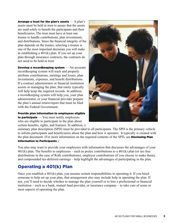Arrange a trust for the plan's assets  $-A$  plan's assets must be held in trust to assure that the assets are used solely to benefit the participants and their beneficiaries. The trust must have at least one trustee to handle contributions, plan investments, and distributions. Since the financial integrity of the plan depends on the trustee, selecting a trustee is one of the most important decisions you will make in establishing a 401(k) plan. If you set up your plan through insurance contracts, the contracts do not need to be held in trust.

**Develop a recordkeeping system** — An accurate recordkeeping system will track and properly attribute contributions, earnings and losses, plan investments, expenses, and benefit distributions. If a contract administrator or financial institution assists in managing the plan, that entity typically will help keep the required records. In addition, a recordkeeping system will help you, your plan administrator, or your financial provider prepare the plan's annual return/report that must be filed with the Federal Government.

Provide plan information to employees eligible to participate  $-$  You must notify employees who are eligible to participate in the plan about certain benefits, rights, and features. In addition, a



summary plan description (SPD) must be provided to all participants. The SPD is the primary vehicle to inform participants and beneficiaries about the plan and how it operates. It typically is created with the plan document. (For more information on the required contents of the SPD, see **Disclosing Plan** Information to Participants.)

You also may want to provide your employees with information that discusses the advantages of your  $401(k)$  plan. The benefits to employees – such as pretax contributions to a  $401(k)$  plan (or tax-free distributions in the case of Roth contributions), employer contributions (if you choose to make them), and compounded tax-deferred earnings – help highlight the advantages of participating in the plan.

# Operating a 401(k) Plan

Once you establish a 401(k) plan, you assume certain responsibilities in operating it. If you hired someone to help set up your plan, that arrangement also may include help in operating the plan. If not, you'll need to decide whether to manage the plan yourself or to hire a professional or financial institution – such as a bank, mutual fund provider, or insurance company – to take care of some or most aspects of operating the plan.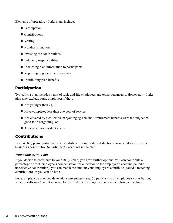Elements of operating 401(k) plans include:

- $\blacksquare$  Participation
- $\blacksquare$  Contributions
- $\blacksquare$  Vesting
- $\blacksquare$  Nondiscrimination
- $\blacksquare$  Investing the contributions
- $\blacksquare$  Fiduciary responsibilities
- $\blacksquare$  Disclosing plan information to participants
- $\blacksquare$  Reporting to government agencies
- $\blacksquare$  Distributing plan benefits

## Participation

Typically, a plan includes a mix of rank-and-file employees and owners/managers. However, a 401(k) plan may exclude some employees if they:

- $\blacksquare$  Are younger than 21,
- $\blacksquare$  Have completed less than one year of service,
- $\blacksquare$  Are covered by a collective bargaining agreement, if retirement benefits were the subject of good faith bargaining, or
- $\blacksquare$  Are certain nonresident aliens.

## Contributions

In all 401(k) plans, participants can contribute through salary deductions. You can decide on your business's contribution to participants' accounts in the plan.

## *Traditional 401(k) Plan*

If you decide to contribute to your 401(k) plan, you have further options. You can contribute a percentage of each employee's compensation for allocation to the employee's account (called a nonelective contribution), you can match the amount your employees contribute (called a matching contribution), or you can do both.

For example, you may decide to add a percentage – say, 50 percent – to an employee's contribution, which results in a 50-cent increase for every dollar the employee sets aside. Using a matching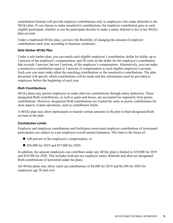contribution formula will provide employer contributions only to employees who make deferrals to the 401(k) plan. If you choose to make nonelective contributions, the employer contribution goes to each eligible participant, whether or not the participant decides to make a salary deferral to his or her  $401(k)$ plan account.

Under a traditional 401(k) plan, you have the flexibility of changing the amount of employer contributions each year, according to business conditions.

### *Safe Harbor 401(k) Plan*

Under a safe harbor plan, you can match each eligible employee's contribution, dollar for dollar, up to 3 percent of the employee's compensation, and 50 cents on the dollar for the employee's contribution that exceeds 3 percent, but not 5 percent, of the employee's compensation. Alternatively, you can make a nonelective contribution equal to 3 percent of compensation to each eligible employee's account. Each year you must make either the matching contributions or the nonelective contributions. The plan document will specify which contributions will be made and this information must be provided to employees before the beginning of each year.

#### *Roth Contributions*

401(k) plans may permit employees to make after-tax contributions through salary deduction. These designated Roth contributions, as well as gains and losses, are accounted for separately from pretax contributions. However, designated Roth contributions are treated the same as pretax contributions for most aspects of plan operations, such as contribution limits.

A 401(k) plan may allow participants to transfer certain amounts in the plan to their designated Roth account in the plan.

## *Contribution Limits*

Employer and employee contributions and forfeitures (nonvested employer contributions of terminated participants) are subject to a per-employee overall annual limitation. This limit is the lesser of:

- 100 percent of the employee's compensation, or
- $\blacksquare$  \$56,000 for 2019 and \$57,000 for 2020.

In addition, the amount employees can contribute under any 401(k) plan is limited to \$19,000 for 2019 and \$19,500 for 2020. This includes both pre-tax employee salary deferrals and after-tax designated Roth contributions (if permitted under the plan).

All 401(k) plans may allow catch-up contributions of \$6,000 for 2019 and \$6,500 for 2020 for employees age 50 and over.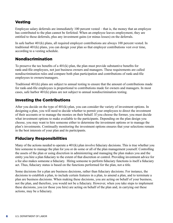## Vesting

Employee salary deferrals are immediately 100 percent vested – that is, the money that an employee has contributed to the plan cannot be forfeited. When an employee leaves employment, they are entitled to those deferrals, plus any investment gains (or minus losses) on the deferrals.

In safe harbor 401(k) plans, all required employer contributions are always 100 percent vested. In traditional 401(k) plans, you can design your plan so that employer contributions vest over time, according to a vesting schedule.

## Nondiscrimination

To preserve the tax benefits of a 401(k) plan, the plan must provide substantive benefits for rank-and-file employees, not just business owners and managers. These requirements are called nondiscrimination rules and compare both plan participation and contributions of rank-and-file employees to owners/managers.

Traditional 401(k) plans are subject to annual testing to ensure that the amount of contributions made for rank-and-file employees is proportional to contributions made for owners and managers. In most cases, safe harbor 401(k) plans are not subject to annual nondiscrimination testing.

## Investing the Contributions

After you decide on the type of 401(k) plan, you can consider the variety of investment options. In designing a plan, you will need to decide whether to permit your employees to direct the investment of their accounts or to manage the monies on their behalf. If you choose the former, you must decide what investment options to make available to the participants. Depending on the plan design you choose, you may want to hire someone either to determine the investment options or to manage the plan's investments. Continually monitoring the investment options ensures that your selections remain in the best interests of your plan and its participants.

## Fiduciary Responsibilities

Many of the actions needed to operate a 401(k) plan involve fiduciary decisions. This is true whether you hire someone to manage the plan for you or do some or all of the plan management yourself. Controlling the assets of the plan or using discretion in administering and managing the plan makes you and the entity you hire a plan fiduciary to the extent of that discretion or control. Providing investment advice for a fee also makes someone a fiduciary. Hiring someone to perform fiduciary functions is itself a fiduciary act. Thus, fiduciary status is based on the functions performed for the plan, not a title.

Some decisions for a plan are business decisions, rather than fiduciary decisions. For instance, the decisions to establish a plan, to include certain features in a plan, to amend a plan, and to terminate a plan are business decisions. When making these decisions, you are acting on behalf of your business, not the plan, and therefore, you would not be a fiduciary. However, when you take steps to implement these decisions, you (or those you hire) are acting on behalf of the plan and, in carrying out these actions, may be a fiduciary.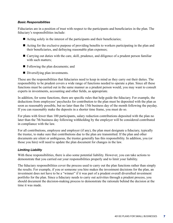#### *Basic Responsibilities*

Fiduciaries are in a position of trust with respect to the participants and beneficiaries in the plan. The fiduciary's responsibilities include:

- $\blacksquare$  Acting solely in the interest of the participants and their beneficiaries;
- $\blacksquare$  Acting for the exclusive purpose of providing benefits to workers participating in the plan and their beneficiaries, and defraying reasonable plan expenses;
- Carrying out duties with the care, skill, prudence, and diligence of a prudent person familiar with such matters;
- $\blacksquare$  Following the plan documents; and
- $\blacksquare$  Diversifying plan investments.

These are the responsibilities that fiduciaries need to keep in mind as they carry out their duties. The responsibility to be prudent covers a wide range of functions needed to operate a plan. Since all these functions must be carried out in the same manner as a prudent person would, you may want to consult experts in investments, accounting and other fields, as appropriate.

In addition, for some functions, there are specific rules that help guide the fiduciary. For example, the deductions from employees' paychecks for contribution to the plan must be deposited with the plan as soon as reasonably possible, but no later than the 15th business day of the month following the payday. If you can reasonably make the deposits in a shorter time frame, you must do so.

For plans with fewer than 100 participants, salary reduction contributions deposited with the plan no later than the 7th business day following withholding by the employer will be considered contributed in compliance with the law.

For all contributions, employee and employer (if any), the plan must designate a fiduciary, typically the trustee, to make sure that contributions due to the plan are transmitted. If the plan and other documents are silent or ambiguous, the trustee generally has this responsibility. In addition, you (or those you hire) will need to update the plan document for changes in the law.

## *Limiting Liability*

With these responsibilities, there is also some potential liability. However, you can take actions to demonstrate that you carried out your responsibilities properly and to limit your liability.

The fiduciary responsibilities cover the process used to carry out the plan functions rather than simply the results. For example, if you or someone you hire makes the investment decisions for the plan, an investment does not have to be a "winner" if it was part of a prudent overall diversified investment portfolio for the plan. Since a fiduciary needs to carry out activities through a prudent process, you should document the decision-making process to demonstrate the rationale behind the decision at the time it was made.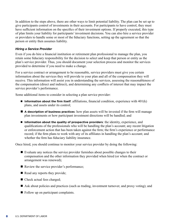In addition to the steps above, there are other ways to limit potential liability. The plan can be set up to give participants control of investments in their accounts. For participants to have control, they must have sufficient information on the specifics of their investment options. If properly executed, this type of plan limits your liability for participants' investment decisions. You can also hire a service provider or providers to handle some or most of the fiduciary functions, setting up the agreement so that the person or entity then assumes liability.

#### *Hiring a Service Provider*

Even if you do hire a financial institution or retirement plan professional to manage the plan, you retain some fiduciary responsibility for the decision to select and keep that person or entity as the plan's service provider. Thus, you should document your selection process and monitor the services provided to determine if you need to make a change.

For a service contract or arrangement to be reasonable, service providers must give you certain information about the services they will provide to your plan and all of the compensation they will receive. This information will assist you in understanding the services, assessing the reasonableness of the compensation (direct and indirect), and determining any conflicts of interest that may impact the service provider's performance.

Some additional items to consider in selecting a plan service provider:

- **Information about the firm itself**: affiliations, financial condition, experience with 401(k) plans, and assets under its control;
- n **A description of business practices**: how plan assets will be invested if the firm will manage plan investments or how participant investment directions will be handled; and
- **n** Information about the quality of prospective providers: the identity, experience, and qualifications of the professionals who will be handling the plan's account; any recent litigation or enforcement action that has been taken against the firm; the firm's experience or performance record; if the firm plans to work with any of its affiliates in handling the plan's account; and whether the firm has fiduciary liability insurance.

Once hired, you should continue to monitor your service provider by doing the following:

- $\blacksquare$  Evaluate any notices the service provider furnishes about possible changes to their compensation and the other information they provided when hired (or when the contract or arrangement was renewed);
- $\blacksquare$  Review the service provider's performance;
- $\blacksquare$  Read any reports they provide;
- Check actual fees charged;
- $\blacksquare$  Ask about policies and practices (such as trading, investment turnover, and proxy voting); and
- Follow up on participant complaints.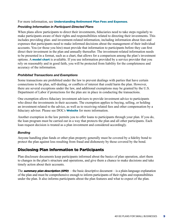For more information, see [Understanding Retirement Plan Fees and Expenses](https://www.dol.gov/sites/dolgov/files/ebsa/about-ebsa/our-activities/resource-center/publications/understanding-retirement-plan-fees-and-expenses.pdf)*.*

#### *Providing Information in Participant-Directed Plans*

When plans allow participants to direct their investments, fiduciaries need to take steps regularly to make participants aware of their rights and responsibilities related to directing their investments. This includes providing plan- and investment-related information, including information about fees and expenses that participants need to make informed decisions about the management of their individual accounts. You (or those you hire) must provide that information to participants before they can first direct their investment in the plan and annually thereafter. The investment-related information needs to be presented in a format, such as a chart, that allows for a comparison among the plan's investment options. A **[model chart](https://www.dol.gov/sites/dolgov/files/ebsa/about-ebsa/our-activities/resource-center/publications/providing-information-in-participant-directed-plans-model-chart.doc)** is available. If you use information provided by a service provider that you rely on reasonably and in good faith, you will be protected from liability for the completeness and accuracy of the information.

#### *Prohibited Transactions and Exemptions*

Some transactions are prohibited under the law to prevent dealings with parties that have certain connections to the plan, self-dealing, or conflicts of interest that could harm the plan. However, there are several exceptions under the law, and additional exemptions may be granted by the U.S. Department of Labor if protections for the plan are in place in conducting the transactions.

One exemption allows fiduciary investment advisers to provide investment advice to participants who direct the investments in their accounts. The exemption applies to buying, selling, or holding an investment related to the advice, as well as to receiving related fees and other compensation by a fiduciary adviser. Please see DOL's **[Website](https://www.dol.gov/agencies/ebsa)** for more information.

Another exemption in the law permits you to offer loans to participants through your plan. If you do, the loan program must be carried out in a way that protects the plan and all other participants. Each loan request decision is treated as a plan investment and considered accordingly.

## *Bonding*

Anyone handling plan funds or other plan property generally must be covered by a fidelity bond to protect the plan against loss resulting from fraud and dishonesty by those covered by the bond.

## Disclosing Plan Information to Participants

Plan disclosure documents keep participants informed about the basics of plan operation, alert them to changes in the plan's structure and operations, and give them a chance to make decisions and take timely action about their accounts.

The **summary plan description (SPD)** – the basic descriptive document – is a plain-language explanation of the plan and must be comprehensive enough to inform participants of their rights and responsibilities under the plan. It also informs participants about the plan features and what to expect of the plan.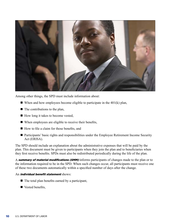

Among other things, the SPD must include information about:

- $\blacksquare$  When and how employees become eligible to participate in the 401(k) plan,
- $\blacksquare$  The contributions to the plan,
- $\blacksquare$  How long it takes to become vested,
- $\blacksquare$  When employees are eligible to receive their benefits,
- $\blacksquare$  How to file a claim for those benefits, and
- Participants' basic rights and responsibilities under the Employee Retirement Income Security Act (ERISA).

The SPD should include an explanation about the administrative expenses that will be paid by the plan. This document must be given to participants when they join the plan and to beneficiaries when they first receive benefits. SPDs must also be redistributed periodically during the life of the plan.

A **summary of material modifications (SMM)** informs participants of changes made to the plan or to the information required to be in the SPD. When such changes occur, all participants must receive one of these two documents automatically within a specified number of days after the change.

#### An *individual benefit statement* shows:

- $\blacksquare$  The total plan benefits earned by a participant,
- $\blacksquare$  Vested benefits,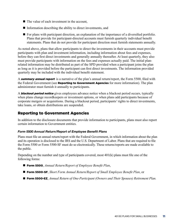- $\blacksquare$  The value of each investment in the account,
- $\blacksquare$  Information describing the ability to direct investments, and
- $\blacksquare$  For plans with participant direction, an explanation of the importance of a diversified portfolio. Plans that provide for participant-directed accounts must furnish quarterly individual benefit statements. Plans that do not provide for participant direction must furnish statements annually.

As noted above, plans that allow participants to direct the investments in their accounts must provide participants with plan and investment information, including information about fees and expenses, before they can first direct investments and generally annually thereafter. At least quarterly, they also must provide participants with information on the fees and expenses actually paid. The initial planrelated information may be distributed as part of the SPD provided when a participant joins the plan as long as it is provided before the participant can first direct investments. The information provided quarterly may be included with the individual benefit statement.

A **summary annual report** is a narrative of the plan's annual return/report, the Form 5500, filed with the Federal Government (see **Reporting to Government Agencies** for more information). The plan administrator must furnish it annually to participants.

A **blackout period notice** gives employees advance notice when a blackout period occurs, typically when plans change recordkeepers or investment options, or when plans add participants because of corporate mergers or acquisitions. During a blackout period, participants' rights to direct investments, take loans, or obtain distributions are suspended.

## Reporting to Government Agencies

In addition to the disclosure documents that provide information to participants, plans must also report certain information to Government entities.

## *Form 5500 Annual Return/Report of Employee Benefit Plans*

Plans must file an annual return/report with the Federal Government, in which information about the plan and its operation is disclosed to the IRS and the U.S. Department of Labor. Plans that are required to file the Form 5500 or Form 5500-SF must do so electronically. These returns/reports are made available to the public.

Depending on the number and type of participants covered, most 401(k) plans must file one of the following forms:

- **Form 5500**, *Annual Return/Report of Employee Benefit Plan*,
- Form 5500-SF, *Short Form Annual Return/Report of Small Employee Benefit Plan, or*
- Form 5500-EZ, *Annual Return of One-Participant (Owners and Their Spouses) Retirement Plan.*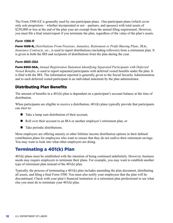The Form 5500-EZ is generally used by one-participant plans. One-participant plans (which cover only sole proprietors – whether incorporated or not – partners, and spouses) with total assets of \$250,000 or less at the end of the plan year are exempt from the annual filing requirement. However, you must file a final return/report if you terminate the plan, regardless of the value of the plan's assets.

## *Form 1099-R*

Form 1099-R, *Distributions From Pensions, Annuities, Retirement or Profit-Sharing Plans, IRAs, Insurance Contracts, etc.*, is used to report distributions (including rollovers) from a retirement plan. It is given to both the IRS and recipients of distributions from the plan during the year.

## *Form 8955-SSA*

Form 8955-SSA, *Annual Registration Statement Identifying Separated Participants with Deferred Vested Benefits*, is used to report separated participants with deferred vested benefits under the plan. It is filed with the IRS. The information reported is generally given to the Social Security Administration and to each deferred vested participant in an individual statement by the plan administrator.

## Distributing Plan Benefits

The amount of benefits in a 401(k) plan is dependent on a participant's account balance at the time of distribution.

When participants are eligible to receive a distribution, 401(k) plans typically provide that participants can elect to:

- $\blacksquare$  Take a lump sum distribution of their account,
- n Roll over their account to an IRA or another employer's retirement plan, or
- $\blacksquare$  Take periodic distributions.

More employers are offering annuity or other lifetime income distribution options in their defined contribution plans for employees who want to ensure that they do not outlive their retirement savings. You may want to look into what other employers are doing.

# Terminating a 401(k) Plan

401(k) plans must be established with the intention of being continued indefinitely. However, business needs may require employers to terminate their plans. For example, you may want to establish another type of retirement plan instead of the 401(k) plan.

Typically, the process of terminating a 401(k) plan includes amending the plan document, distributing all assets, and filing a final Form 5500. You must also notify your employees that the plan will be discontinued. Check with your plan's financial institution or a retirement plan professional to see what else you must do to terminate your 401(k) plan.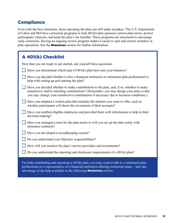## **Compliance**

Even with the best intentions, those operating the plan can still make mistakes. The U.S. Department of Labor and IRS have correction programs to help 401(k) plan sponsors correct plan errors, protect participants' interests, and keep the plan's tax benefits. These programs are structured to encourage early correction. Having an ongoing review program makes it easier to spot and correct mistakes in plan operations. See the **Resources** section for further information.

| A 401(k) Checklist                                                                                                                                                                                                                                                           |
|------------------------------------------------------------------------------------------------------------------------------------------------------------------------------------------------------------------------------------------------------------------------------|
| Now that you are ready to get started, ask yourself these questions:                                                                                                                                                                                                         |
| Have you determined which type of $401(k)$ plan best suits your business?                                                                                                                                                                                                    |
|                                                                                                                                                                                                                                                                              |
| Have you decided whether to hire a financial institution or retirement plan professional to<br>help with setting up and running the plan?                                                                                                                                    |
| Have you decided whether to make contributions to the plan, and, if so, whether to make<br>nonelective and/or matching contributions? (Remember, you may design your plan so that<br>you may change your nonelective contributions if necessary due to business conditions.) |
| Have you adopted a written plan that includes the features you want to offer, such as<br>whether participants will direct the investment of their accounts?                                                                                                                  |
| Have you notified eligible employees and provided them with information to help in their<br>decision-making?                                                                                                                                                                 |
| Have you arranged a trust for the plan assets or will you set up the plan solely with<br>insurance contracts?                                                                                                                                                                |
| Have you developed a recordkeeping system?                                                                                                                                                                                                                                   |
| Do you understand your fiduciary responsibilities?                                                                                                                                                                                                                           |
| How will you monitor the plan's service providers and investments?                                                                                                                                                                                                           |
| Do you understand the reporting and disclosure requirements of a $401(k)$ plan?                                                                                                                                                                                              |
| For help establishing and operating a $401(k)$ plan vou may want to talk to a retirement plan                                                                                                                                                                                |

For help establishing and operating a 401(k) plan, you may want to talk to a retirement plan professional or a representative of a financial institution offering retirement plans – and take advantage of the help available in the following **Resources** section.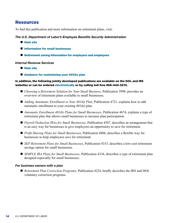## Resources

To find this publication and more information on retirement plans, visit:

#### *The U.S. Department of Labor's Employee Benefits Security Administration*

- **Nain site**
- **n** [Information for small businesses](https://www.dol.gov/agencies/ebsa/employers-and-advisers/small-business)
- $\blacksquare$  [Retirement saving information for employers and employees](https://www.savingmatters.dol.gov)

#### *Internal Revenue Services*

- **Nain site**
- Guidance for maintaining your  $401(k)$  plan

#### In addition, the following jointly developed publications are available on the DOL and IRS websites or can be ordered [electronically](https://www.askebsa.dol.gov) or by calling toll-free 866-444-3272.

- *Choosing a Retirement Solution for Your Small Business*, Publication 3998, provides an overview of retirement plans available to small businesses.
- *Adding Automatic Enrollment to Your 401(k) Plan*, Publication 4721, explains how to add automatic enrollment to your existing 401(k) plan.
- *Automatic Enrollment 401(k) Plans for Small Businesses*, Publication 4674, explains a type of retirement plan that allows small businesses to increase plan participation.
- *Payroll Deduction IRAs for Small Businesses*, Publication 4587, describes an arrangement that is an easy way for businesses to give employees an opportunity to save for retirement.
- *Profit Sharing Plans for Small Businesses*, Publication 4806, describes a flexible way for businesses to help employees save for retirement.
- *SEP Retirement Plans for Small Businesses*, Publication 4333, describes a low-cost retirement savings option for small businesses.
- *SIMPLE IRA Plans for Small Businesses*, Publication 4334, describes a type of retirement plan designed especially for small businesses.

#### *For business owners with a plan*

■ *Retirement Plan Correction Programs*, Publication 4224, briefly describes the IRS and DOL voluntary correction programs.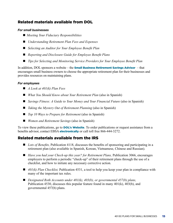## Related materials available from DOL

#### *For small businesses*

- *Meeting Your Fiduciary Responsibilities*
- *Understanding Retirement Plan Fees and Expenses*
- *Selecting an Auditor for Your Employee Benefit Plan*
- *Reporting and Disclosure Guide for Employee Benefit Plans*
- *Tips for Selecting and Monitoring Service Providers for Your Employee Benefit Plan*

In addition, DOL sponsors a website – the **[Small Business Retirement Savings Advisor](https://webapps.dol.gov/elaws/ebsaplan.htm)** – that encourages small business owners to choose the appropriate retirement plan for their businesses and provides resources on maintaining plans.

#### *For employees*

- *A Look at 401(k) Plan Fees*
- *What You Should Know about Your Retirement Plan* (also in Spanish)
- *Savings Fitness: A Guide to Your Money and Your Financial Future* (also in Spanish)
- *Taking the Mystery Out of Retirement Planning* (also in Spanish)
- *Top 10 Ways to Prepare for Retirement* (also in Spanish)
- *Women and Retirement Savings* (also in Spanish)

To view these publications, go to **[DOL's Website](https://www.savingmatters.dol.gov)**. To order publications or request assistance from a benefits advisor, contact EBSA **[electronically](https://www.askebsa.dol.gov)** or call toll free 866-444-3272.

## Related materials available from the IRS

- *Lots of Benefits*, Publication 4118, discusses the benefits of sponsoring and participating in a retirement plan (also available in Spanish, Korean, Vietnamese, Chinese and Russian).
- *Have you had your Check-up this year? for Retirement Plans, Publication 3066, encourages* employers to perform a periodic "check-up" of their retirement plans through the use of a checklist, and how to initiate any necessary corrective action.
- *401(k) Plan Checklist*, Publication 4531, a tool to help you keep your plan in compliance with many of the important tax rules.
- *Designated Roth Accounts under 401(k), 403(b), or governmental 457(b) plans,* Publication 4530, discusses this popular feature found in many 401(k), 403(b), and governmental 457(b) plans.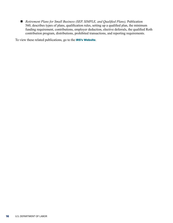■ *Retirement Plans for Small Business (SEP, SIMPLE, and Qualified Plans), Publication* 560, describes types of plans, qualification rules, setting up a qualified plan, the minimum funding requirement, contributions, employer deduction, elective deferrals, the qualified Roth contribution program, distributions, prohibited transactions, and reporting requirements.

To view these related publications, go to the [IRS's Website](http://www.IRS.gov/retirement).